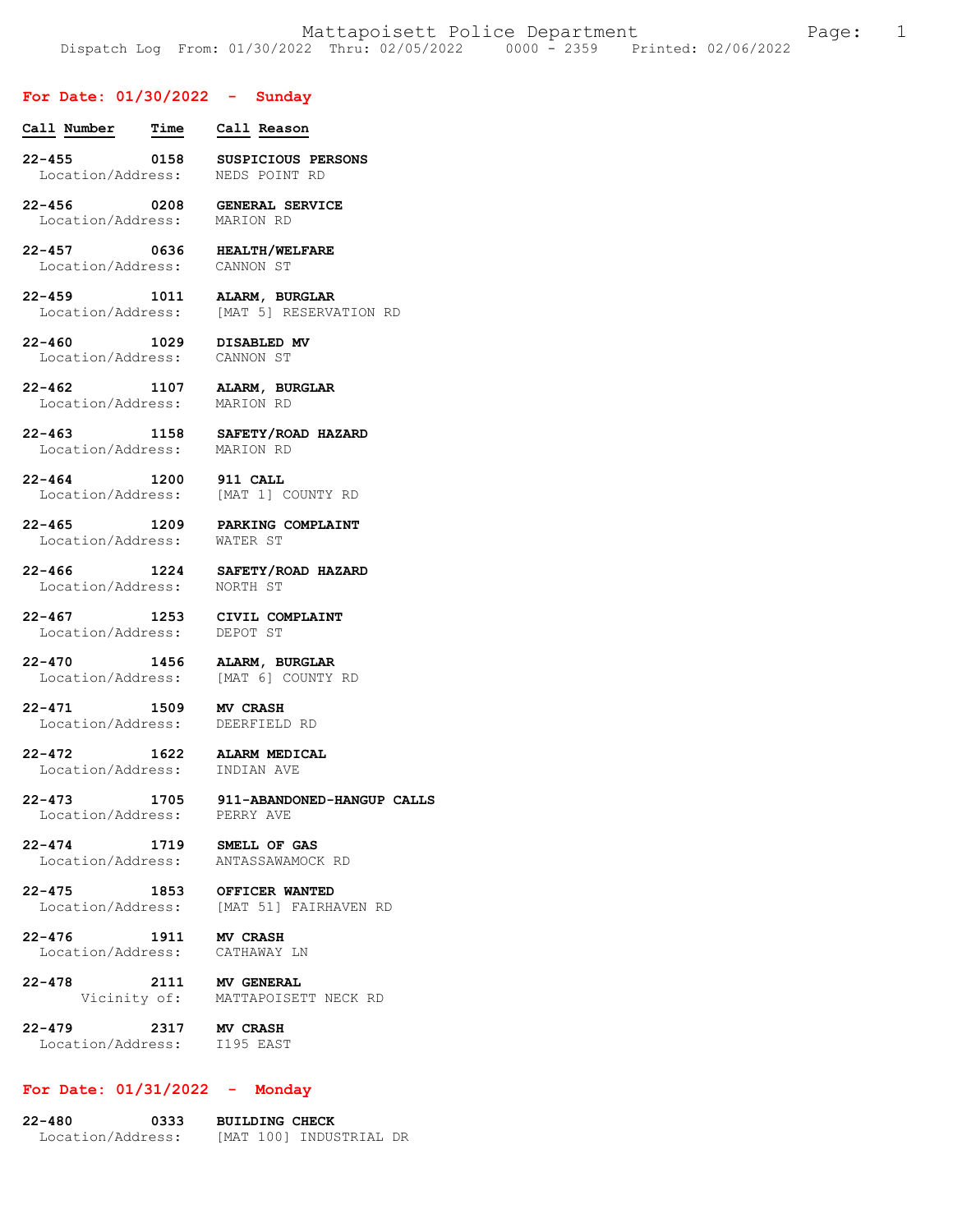# **For Date: 01/30/2022 - Sunday**

| FOI Date: 01/30/2022 - Sunday                             |                                                                        |
|-----------------------------------------------------------|------------------------------------------------------------------------|
| Call Number Time Call Reason                              |                                                                        |
|                                                           | 22-455 0158 SUSPICIOUS PERSONS<br>Location/Address: NEDS POINT RD      |
| Location/Address: MARION RD                               | 22-456 0208 GENERAL SERVICE                                            |
| Location/Address: CANNON ST                               | 22-457 0636 HEALTH/WELFARE                                             |
|                                                           | 22-459 1011 ALARM, BURGLAR<br>Location/Address: [MAT 5] RESERVATION RD |
| 22-460 1029 DISABLED MV<br>Location/Address:              | CANNON ST                                                              |
|                                                           | 22-462 1107 ALARM, BURGLAR<br>Location/Address: MARION RD              |
|                                                           | 22-463 1158 SAFETY/ROAD HAZARD<br>Location/Address: MARION RD          |
| 22-464 1200 911 CALL                                      | Location/Address: [MAT 1] COUNTY RD                                    |
| Location/Address: WATER ST                                | 22-465 1209 PARKING COMPLAINT                                          |
| Location/Address: NORTH ST                                | 22-466 1224 SAFETY/ROAD HAZARD                                         |
| Location/Address: DEPOT ST                                | 22-467 1253 CIVIL COMPLAINT                                            |
|                                                           | 22-470 1456 ALARM, BURGLAR<br>Location/Address: [MAT 6] COUNTY RD      |
| 22-471<br>Location/Address: DEERFIELD RD                  | 1509 MV CRASH                                                          |
| 22-472 1622 ALARM MEDICAL<br>Location/Address: INDIAN AVE |                                                                        |
| Location/Address: PERRY AVE                               | 22-473 1705 911-ABANDONED-HANGUP CALLS                                 |
|                                                           | 22-474 1719 SMELL OF GAS<br>Location/Address: ANTASSAWAMOCK RD         |
| 22-475                                                    | 2-475 1853 OFFICER WANTED<br>Location/Address: [MAT 51] FAIRHAVEN RD   |
| $22 - 476$<br>Location/Address: CATHAWAY LN               | 1911 MV CRASH                                                          |
| $22 - 478$                                                | 2111 MV GENERAL<br>Vicinity of: MATTAPOISETT NECK RD                   |
| $22 - 479$<br>Location/Address: I195 EAST                 | 2317 MV CRASH                                                          |

# **For Date: 01/31/2022 - Monday**

**22-480 0333 BUILDING CHECK**  Location/Address: [MAT 100] INDUSTRIAL DR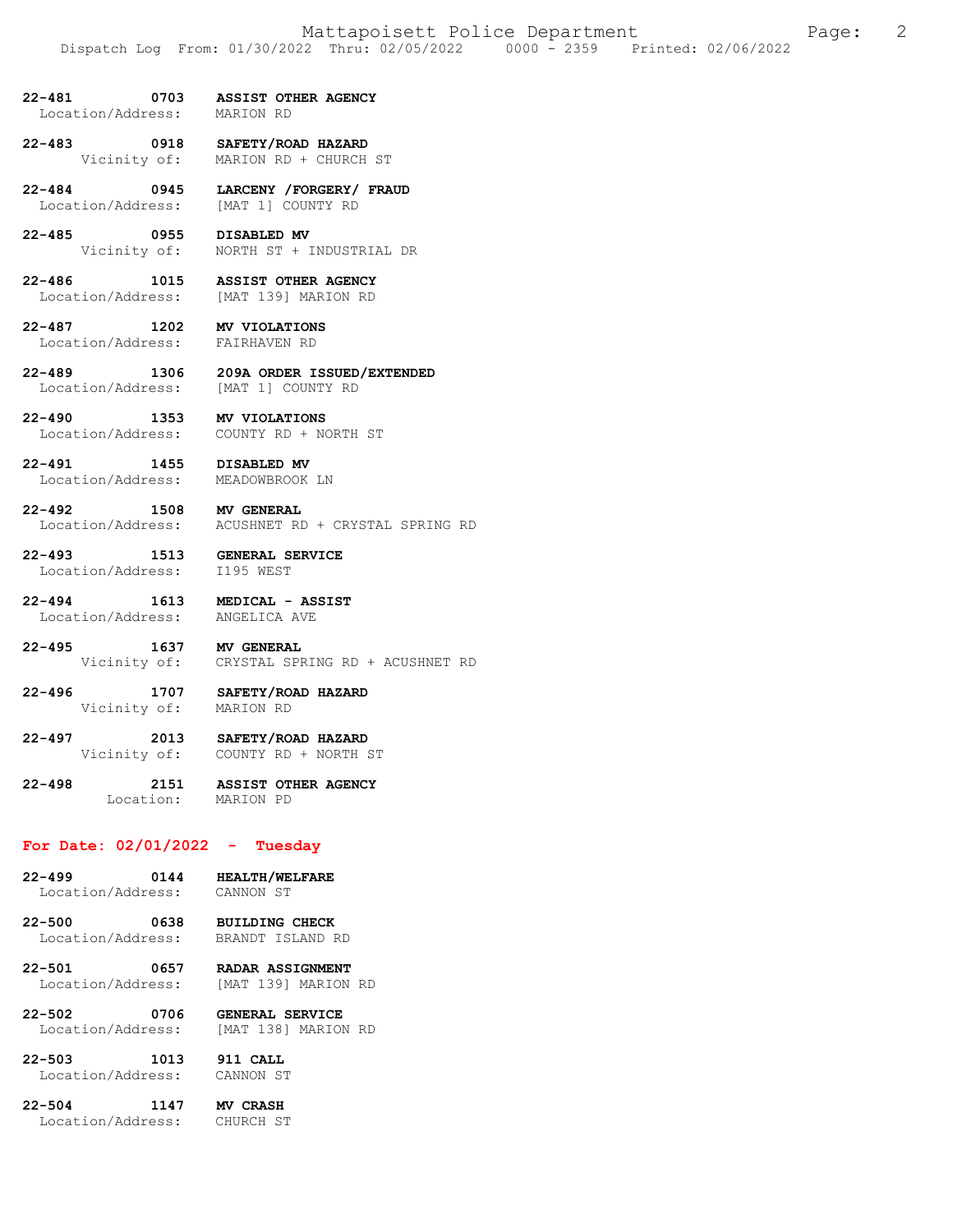- **22-481 0703 ASSIST OTHER AGENCY**  Location/Address:
- **22-483 0918 SAFETY/ROAD HAZARD**  MARION RD + CHURCH ST
- **22-484 0945 LARCENY /FORGERY/ FRAUD**  Location/Address: [MAT 1] COUNTY RD
- **22-485 0955 DISABLED MV**  Vicinity of: NORTH ST + INDUSTRIAL DR
- **22-486 1015 ASSIST OTHER AGENCY**  Location/Address: [MAT 139] MARION RD
- **22-487 1202 MV VIOLATIONS**  Location/Address:
- **22-489 1306 209A ORDER ISSUED/EXTENDED**  Location/Address: [MAT 1] COUNTY RD
- **22-490 1353 MV VIOLATIONS**  Location/Address: COUNTY RD + NORTH ST
- **22-491 1455 DISABLED MV**  Location/Address: MEADOWBROOK LN
	-
- **22-492 1508 MV GENERAL**  Location/Address: ACUSHNET RD + CRYSTAL SPRING RD
- **22-493 1513 GENERAL SERVICE**  Location/Address: I195 WEST
	-
- **22-494 1613 MEDICAL ASSIST**  Location/Address:
- **22-495 1637 MV GENERAL**  Vicinity of: CRYSTAL SPRING RD + ACUSHNET RD
- **22-496 1707 SAFETY/ROAD HAZARD**  Vicinity of: MARION RD
- **22-497 2013 SAFETY/ROAD HAZARD**  COUNTY RD + NORTH ST
- **22-498 2151 ASSIST OTHER AGENCY**  Location: MARION PD

## **For Date: 02/01/2022 - Tuesday**

- **22-499 0144 HEALTH/WELFARE**  Location/Address: CANNON ST
	-
- **22-500 0638 BUILDING CHECK**  Location/Address: BRANDT ISLAND RD
- **22-501 0657 RADAR ASSIGNMENT**  Location/Address: [MAT 139] MARION RD
- **22-502 0706 GENERAL SERVICE**  Location/Address: [MAT 138] MARION RD
- **22-503 1013 911 CALL**  Location/Address:
- **22-504 1147 MV CRASH**  Location/Address: CHURCH ST
	-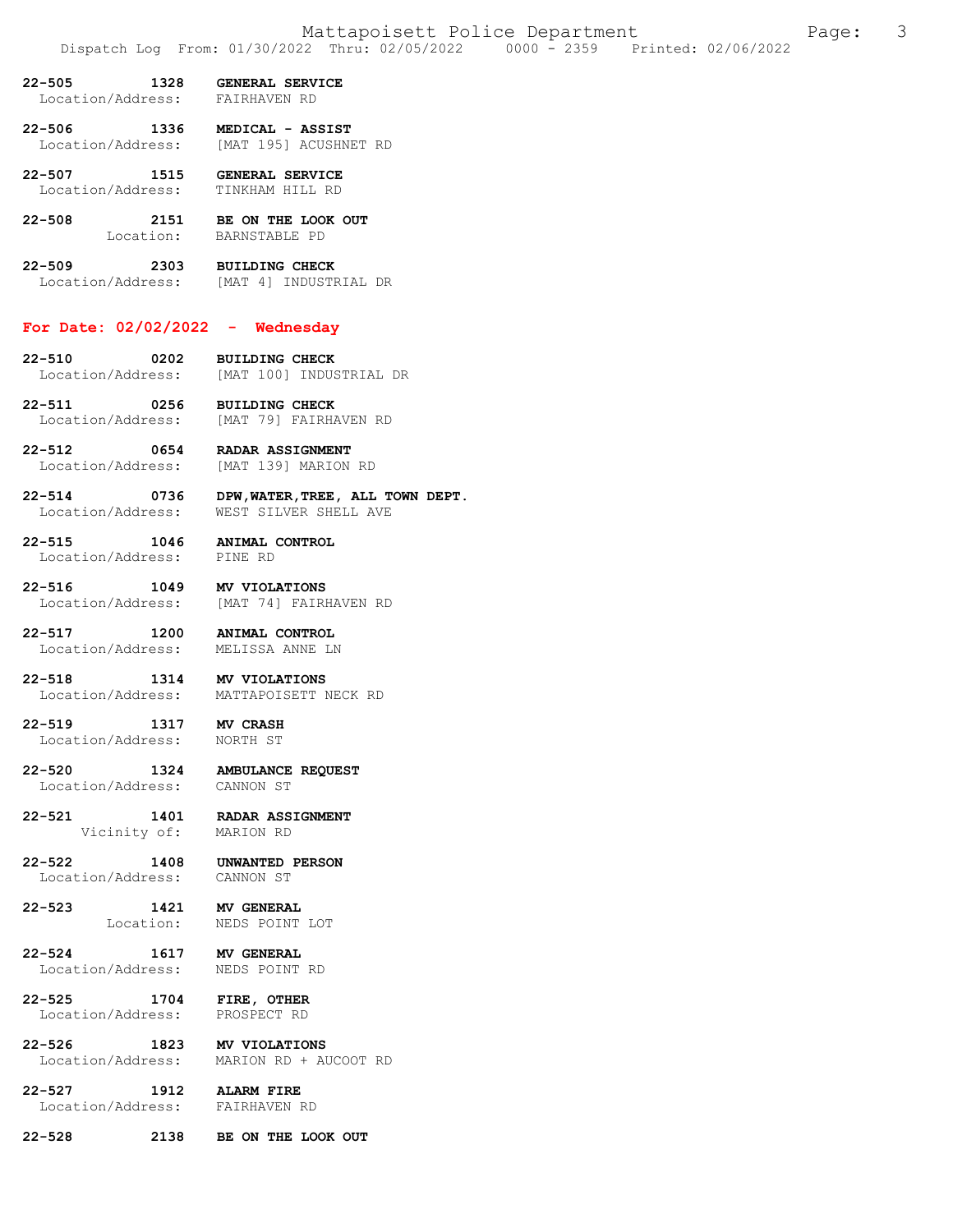- **22-505 1328 GENERAL SERVICE**  Location/Address: FAIRHAVEN RD
- **22-506 1336 MEDICAL ASSIST**  [MAT 195] ACUSHNET RD
- **22-507 1515 GENERAL SERVICE**  Location/Address:
- **22-508 2151 BE ON THE LOOK OUT**  Location: BARNSTABLE PD
- **22-509 2303 BUILDING CHECK**  Location/Address: [MAT 4] INDUSTRIAL DR

#### **For Date: 02/02/2022 - Wednesday**

- **22-510 0202 BUILDING CHECK**  Location/Address: [MAT 100] INDUSTRIAL DR
- **22-511 0256 BUILDING CHECK**  [MAT 79] FAIRHAVEN RD
- **22-512 0654 RADAR ASSIGNMENT**  [MAT 139] MARION RD
- **22-514 0736 DPW,WATER,TREE, ALL TOWN DEPT.**  WEST SILVER SHELL AVE
- **22-515 1046 ANIMAL CONTROL**  Location/Address:
- **22-516 1049 MV VIOLATIONS**  Location/Address: [MAT 74] FAIRHAVEN RD
- **22-517 1200 ANIMAL CONTROL**  Location/Address:
- **22-518 1314 MV VIOLATIONS**  Location/Address: MATTAPOISETT NECK RD

#### **22-519 1317 MV CRASH**  Location/Address:

**22-520 1324 AMBULANCE REQUEST**  Location/Address:

**22-521 1401 RADAR ASSIGNMENT** 

Vicinity of: MARION RD

**22-522 1408 UNWANTED PERSON**  Location/Address: CANNON ST

#### **22-523 1421 MV GENERAL**  NEDS POINT LOT

**22-524 1617 MV GENERAL**  Location/Address:

## **22-525 1704 FIRE, OTHER**  Location/Address: PROSPECT RD

**22-526 1823 MV VIOLATIONS**  MARION RD + AUCOOT RD

#### **22-527 1912 ALARM FIRE**  Location/Address:

**22-528 2138 BE ON THE LOOK OUT**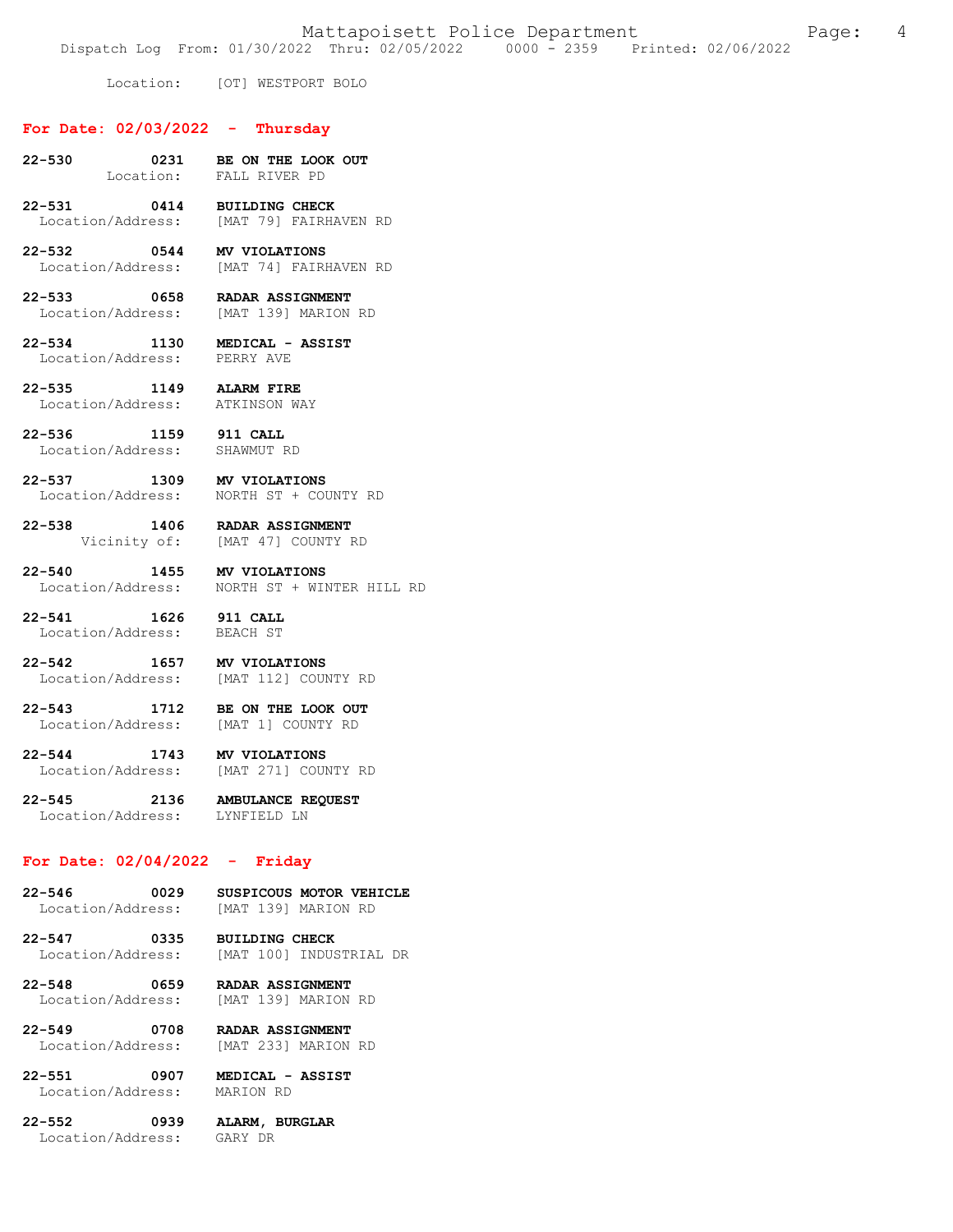Dispatch Log From: 01/30/2022 Thru: 02/05/2022 0000 - 2359 Printed: 02/06/2022

Location: [OT] WESTPORT BOLO

# **For Date: 02/03/2022 - Thursday**

- **22-530 0231 BE ON THE LOOK OUT**  Location: FALL RIVER PD
- **22-531 0414 BUILDING CHECK**  [MAT 79] FAIRHAVEN RD
- **22-532 0544 MV VIOLATIONS**  Location/Address: [MAT 74] FAIRHAVEN RD
- **22-533 0658 RADAR ASSIGNMENT**  Location/Address: [MAT 139] MARION RD
- **22-534 1130 MEDICAL ASSIST**  Location/Address:
- **22-535 1149 ALARM FIRE**  Location/Address: ATKINSON WAY
- **22-536 1159 911 CALL**  Location/Address:
	-
- **22-537 1309 MV VIOLATIONS**  Location/Address: NORTH ST + COUNTY RD

**22-538 1406 RADAR ASSIGNMENT**  Vicinity of: [MAT 47] COUNTY RD

**22-540 1455 MV VIOLATIONS**  Location/Address: NORTH ST + WINTER HILL RD

**22-541 1626 911 CALL**  Location/Address:

- **22-542 1657 MV VIOLATIONS**  [MAT 112] COUNTY RD
- **22-543 1712 BE ON THE LOOK OUT**  Location/Address: [MAT 1] COUNTY RD

**22-544 1743 MV VIOLATIONS**  Location/Address: [MAT 271] COUNTY RD

**22-545 2136 AMBULANCE REQUEST**  Location/Address:

# **For Date: 02/04/2022 - Friday**

- **22-546 0029 SUSPICOUS MOTOR VEHICLE**  Location/Address: [MAT 139] MARION RD
- **22-547 0335 BUILDING CHECK**  Location/Address: [MAT 100] INDUSTRIAL DR
- **22-548 0659 RADAR ASSIGNMENT**  Location/Address:
- **22-549 0708 RADAR ASSIGNMENT**

**22-551 0907 MEDICAL - ASSIST**  Location/Address:

[MAT 233] MARION RD

**22-552 0939 ALARM, BURGLAR**  Location/Address: GARY DR